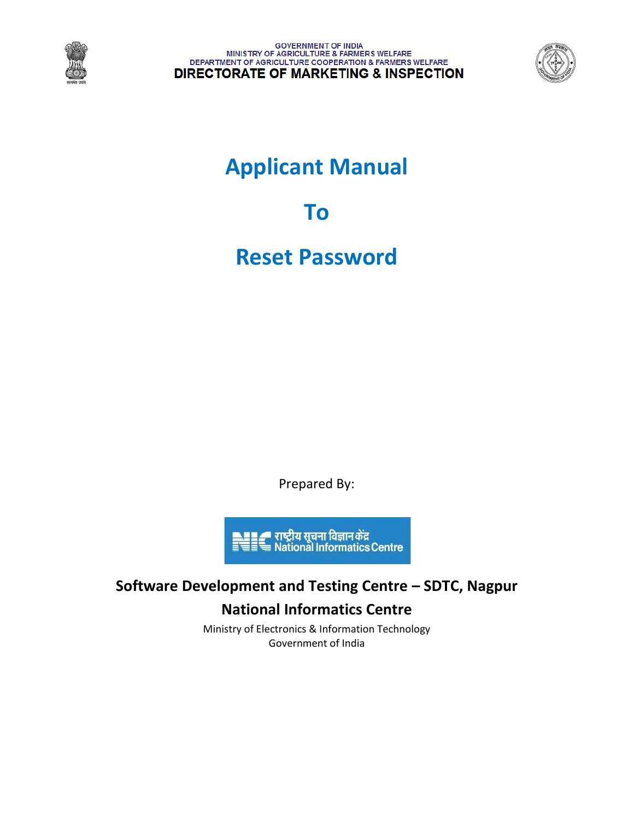

GOVERNMENT OF INDIA<br>MINISTRY OF AGRICULTURE & FARMERS WELFARE<br>DEPARTMENT OF AGRICULTURE COOPERATION & FARMERS WELFARE **DIRECTORATE OF MARKETING & INSPECTION** 



# **Applicant Manual**

**To**

## **Reset Password**

Prepared By:



## **Software Development and Testing Centre – SDTC, Nagpur National Informatics Centre**

Ministry of Electronics & Information Technology Government of India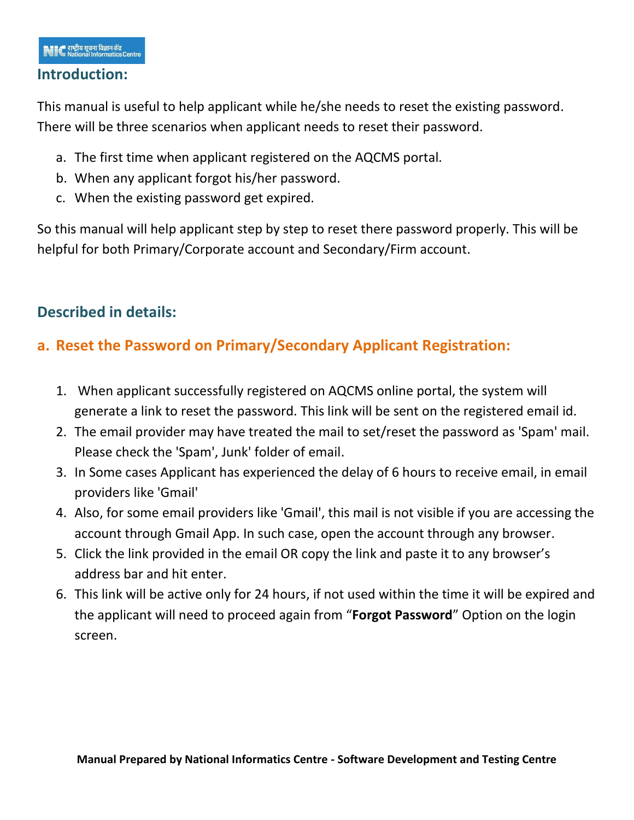#### **Introduction:**

This manual is useful to help applicant while he/she needs to reset the existing password. There will be three scenarios when applicant needs to reset their password.

- a. The first time when applicant registered on the AQCMS portal.
- b. When any applicant forgot his/her password.
- c. When the existing password get expired.

So this manual will help applicant step by step to reset there password properly. This will be helpful for both Primary/Corporate account and Secondary/Firm account.

### **Described in details:**

### **a. Reset the Password on Primary/Secondary Applicant Registration:**

- 1. When applicant successfully registered on AQCMS online portal, the system will generate a link to reset the password. This link will be sent on the registered email id.
- 2. The email provider may have treated the mail to set/reset the password as 'Spam' mail. Please check the 'Spam', Junk' folder of email.
- 3. In Some cases Applicant has experienced the delay of 6 hours to receive email, in email providers like 'Gmail'
- 4. Also, for some email providers like 'Gmail', this mail is not visible if you are accessing the account through Gmail App. In such case, open the account through any browser.
- 5. Click the link provided in the email OR copy the link and paste it to any browser's address bar and hit enter.
- 6. This link will be active only for 24 hours, if not used within the time it will be expired and the applicant will need to proceed again from "**Forgot Password**" Option on the login screen.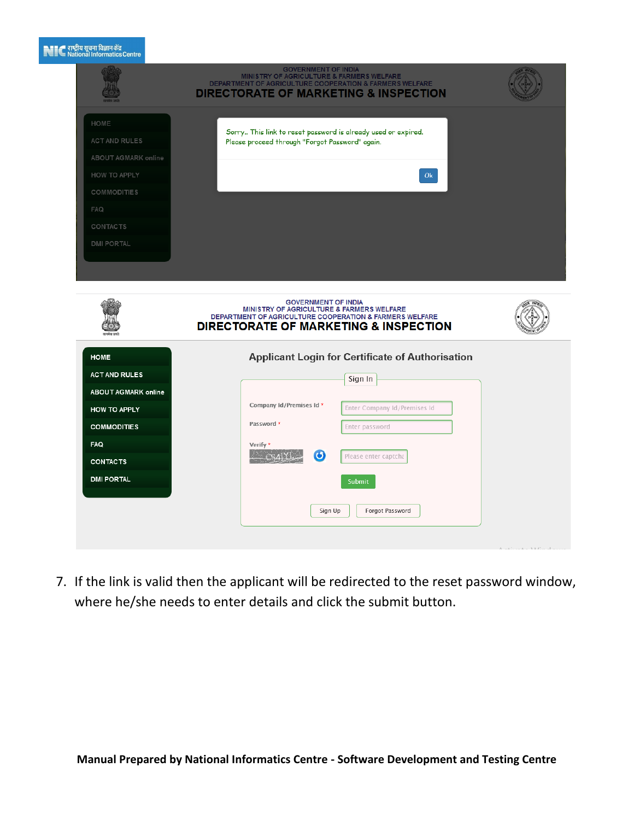#### $\blacksquare$  $\blacksquare$ राष्ट्रीय सूचना विज्ञान केंद्र<br> $\blacksquare$ Mational Informatics

|                                                                                                                                                               | <b>GOVERNMENT OF INDIA</b><br>MINISTRY OF AGRICULTURE & FARMERS WELFARE<br>DEPARTMENT OF AGRICULTURE COOPERATION & FARMERS WELFARE<br><b>DIRECTORATE OF MARKETING &amp; INSPECTION</b>                                                                  |                                        |
|---------------------------------------------------------------------------------------------------------------------------------------------------------------|---------------------------------------------------------------------------------------------------------------------------------------------------------------------------------------------------------------------------------------------------------|----------------------------------------|
| HOME<br><b>ACT AND RULES</b><br>ABOUT AGMARK online<br>HOW TO APPLY<br>COMMODITIES<br><b>FAQ</b><br><b>CONTACTS</b><br><b>DMI PORTAL</b>                      | Sorry This link to reset password is already used or expired.<br>Please proceed through "Forgot Password" again.<br>Ok                                                                                                                                  |                                        |
|                                                                                                                                                               | <b>GOVERNMENT OF INDIA</b><br>MINISTRY OF AGRICULTURE & FARMERS WELFARE<br>DEPARTMENT OF AGRICULTURE COOPERATION & FARMERS WELFARE<br><b>DIRECTORATE OF MARKETING &amp; INSPECTION</b>                                                                  |                                        |
| <b>HOME</b><br><b>ACT AND RULES</b><br><b>ABOUT AGMARK online</b><br><b>HOW TO APPLY</b><br><b>COMMODITIES</b><br>FAQ<br><b>CONTACTS</b><br><b>DMI PORTAL</b> | <b>Applicant Login for Certificate of Authorisation</b><br>Sign In<br>Company Id/Premises Id *<br>Enter Company Id/Premises Id<br>Password *<br>Enter password<br>Verify *<br>$\bullet$<br>Please enter captcha<br>Submit<br>Sign Up<br>Forgot Password | $A = L^*$ , $L = L - 3A L^*$ , $L = L$ |

7. If the link is valid then the applicant will be redirected to the reset password window, where he/she needs to enter details and click the submit button.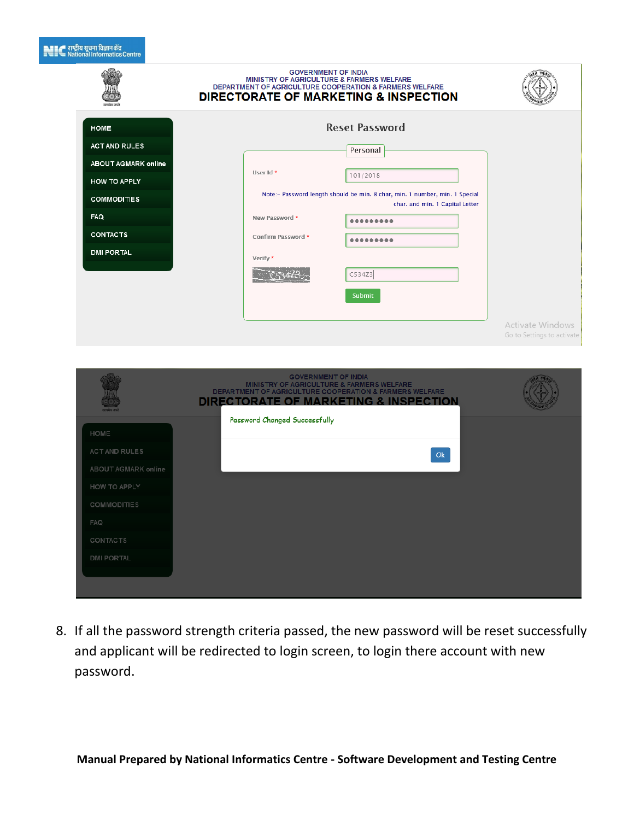#### ्<br>स्टाट्ट् राष्ट्रीय सूचना विज्ञान केंद्र<br>स्टाट्ट्य National Informatics Ce

|                            | <b>GOVERNMENT OF INDIA</b><br>MINISTRY OF AGRICULTURE & FARMERS WELFARE<br>DEPARTMENT OF AGRICULTURE COOPERATION & FARMERS WELFARE<br><b>DIRECTORATE OF MARKETING &amp; INSPECTION</b> |                                                |
|----------------------------|----------------------------------------------------------------------------------------------------------------------------------------------------------------------------------------|------------------------------------------------|
| <b>HOME</b>                | <b>Reset Password</b>                                                                                                                                                                  |                                                |
| <b>ACT AND RULES</b>       | Personal                                                                                                                                                                               |                                                |
| <b>ABOUT AGMARK online</b> | User Id *                                                                                                                                                                              |                                                |
| <b>HOW TO APPLY</b>        | 101/2018                                                                                                                                                                               |                                                |
| <b>COMMODITIES</b>         | Note:- Password length should be min. 8 char, min. 1 number, min. 1 Special<br>char. and min. 1 Capital Letter                                                                         |                                                |
| FAQ                        | New Password *<br>                                                                                                                                                                     |                                                |
| <b>CONTACTS</b>            | Confirm Password *<br>                                                                                                                                                                 |                                                |
| <b>DMI PORTAL</b>          | Verify *                                                                                                                                                                               |                                                |
|                            | C534Z3                                                                                                                                                                                 |                                                |
|                            | Submit                                                                                                                                                                                 |                                                |
|                            |                                                                                                                                                                                        |                                                |
|                            |                                                                                                                                                                                        | Activate Windows<br>Go to Settings to activate |
|                            |                                                                                                                                                                                        |                                                |
|                            |                                                                                                                                                                                        |                                                |
|                            | <b>GOVERNMENT OF INDIA</b><br>MINISTRY OF AGRICULTURE & FARMERS WELFARE<br>DEPARTMENT OF AGRICULTURE COOPERATION & FARMERS WELFARE<br>DIRECTORATE OF MARKETING & INSPECTION            |                                                |
| HOME                       | Password Changed Successfully                                                                                                                                                          |                                                |
| ACT AND RULES              | Ok                                                                                                                                                                                     |                                                |
| ABOUT AGMARK online        |                                                                                                                                                                                        |                                                |
| HOW TO APPLY               |                                                                                                                                                                                        |                                                |
| <b>COMMODITIES</b>         |                                                                                                                                                                                        |                                                |
| FAQ                        |                                                                                                                                                                                        |                                                |
| <b>CONTACTS</b>            |                                                                                                                                                                                        |                                                |
| <b>DMI PORTAL</b>          |                                                                                                                                                                                        |                                                |

8. If all the password strength criteria passed, the new password will be reset successfully and applicant will be redirected to login screen, to login there account with new password.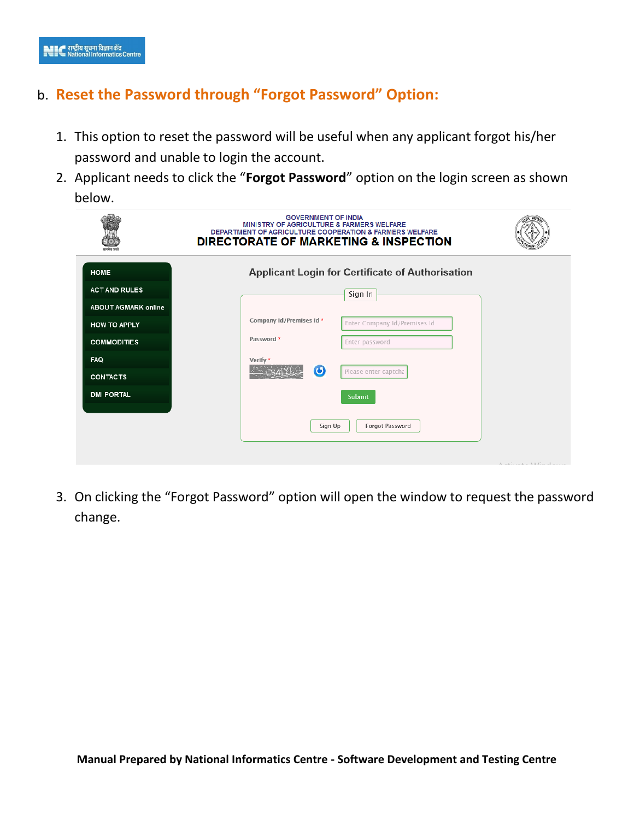### b. **Reset the Password through "Forgot Password" Option:**

- 1. This option to reset the password will be useful when any applicant forgot his/her password and unable to login the account.
- 2. Applicant needs to click the "**Forgot Password**" option on the login screen as shown below.

|                            | <b>GOVERNMENT OF INDIA</b><br>MINISTRY OF AGRICULTURE & FARMERS WELFARE<br>DEPARTMENT OF AGRICULTURE COOPERATION & FARMERS WELFARE<br><b>DIRECTORATE OF MARKETING &amp; INSPECTION</b> |                                                       |
|----------------------------|----------------------------------------------------------------------------------------------------------------------------------------------------------------------------------------|-------------------------------------------------------|
| <b>HOME</b>                | <b>Applicant Login for Certificate of Authorisation</b>                                                                                                                                |                                                       |
| <b>ACT AND RULES</b>       | Sign In                                                                                                                                                                                |                                                       |
| <b>ABOUT AGMARK online</b> |                                                                                                                                                                                        |                                                       |
| <b>HOW TO APPLY</b>        | Company Id/Premises Id *<br>Enter Company Id/Premises Id                                                                                                                               |                                                       |
| <b>COMMODITIES</b>         | Password *<br>Enter password                                                                                                                                                           |                                                       |
| <b>FAQ</b>                 | Verify *                                                                                                                                                                               |                                                       |
| <b>CONTACTS</b>            | $\odot$<br>Please enter captcha                                                                                                                                                        |                                                       |
| <b>DMI PORTAL</b>          | Submit                                                                                                                                                                                 |                                                       |
|                            | Forgot Password<br>Sign Up                                                                                                                                                             | $A = \pm 1$ , $A = \pm 1$ , $A = \pm 1$ , $A = \pm 1$ |

3. On clicking the "Forgot Password" option will open the window to request the password change.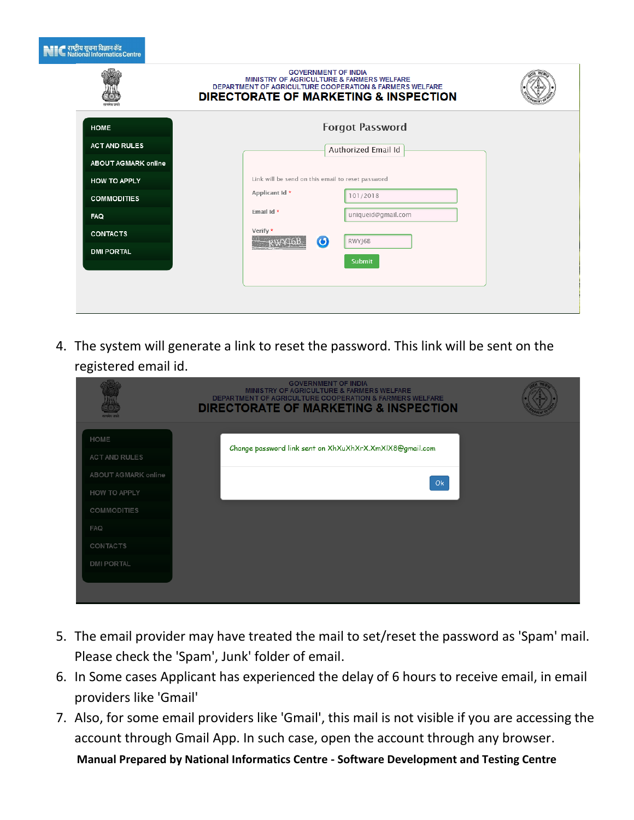| <b>९.९९ - राष्ट्रीय सूचना विज्ञान केंद्र</b>                                                       |  |  |  |
|----------------------------------------------------------------------------------------------------|--|--|--|
|                                                                                                    |  |  |  |
|                                                                                                    |  |  |  |
|                                                                                                    |  |  |  |
| ≣''' National Informatics Central Designations Contral Designations Contral Designations Contral D |  |  |  |
|                                                                                                    |  |  |  |
|                                                                                                    |  |  |  |

|                            | <b>GOVERNMENT OF INDIA</b><br><b>MINISTRY OF AGRICULTURE &amp; FARMERS WELFARE</b><br>DEPARTMENT OF AGRICULTURE COOPERATION & FARMERS WELFARE<br><b>DIRECTORATE OF MARKETING &amp; INSPECTION</b> |  |
|----------------------------|---------------------------------------------------------------------------------------------------------------------------------------------------------------------------------------------------|--|
| <b>HOME</b>                | <b>Forgot Password</b>                                                                                                                                                                            |  |
| <b>ACT AND RULES</b>       | Authorized Email Id                                                                                                                                                                               |  |
| <b>ABOUT AGMARK online</b> |                                                                                                                                                                                                   |  |
| HOW TO APPLY               | Link will be send on this email to reset password                                                                                                                                                 |  |
| <b>COMMODITIES</b>         | Applicant Id *<br>101/2018                                                                                                                                                                        |  |
| <b>FAQ</b>                 | Email Id *<br>uniqueid@gmail.com                                                                                                                                                                  |  |
| <b>CONTACTS</b>            | Verify *<br>RWYJ6B                                                                                                                                                                                |  |
| <b>DMI PORTAL</b>          | $\odot$                                                                                                                                                                                           |  |
|                            | Submit                                                                                                                                                                                            |  |
|                            |                                                                                                                                                                                                   |  |
|                            |                                                                                                                                                                                                   |  |

4. The system will generate a link to reset the password. This link will be sent on the registered email id.

| गरूपमेव जयने                 | <b>GOVERNMENT OF INDIA</b><br><b>MINISTRY OF AGRICULTURE &amp; FARMERS WELFARE</b><br><b>DEPARTMENT OF AGRICULTURE COOPERATION &amp; FARMERS WELFARE</b><br><b>DIRECTORATE OF MARKETING &amp; INSPECTION</b> |  |
|------------------------------|--------------------------------------------------------------------------------------------------------------------------------------------------------------------------------------------------------------|--|
| HOME<br><b>ACT AND RULES</b> | Change password link sent on XhXuXhXrX.XmXlX8@gmail.com                                                                                                                                                      |  |
| ABOUT AGMARK online          | Ok                                                                                                                                                                                                           |  |
| <b>HOW TO APPLY</b>          |                                                                                                                                                                                                              |  |
| COMMODITIES                  |                                                                                                                                                                                                              |  |
| <b>FAQ</b>                   |                                                                                                                                                                                                              |  |
| CONTACTS                     |                                                                                                                                                                                                              |  |
| <b>DMI PORTAL</b>            |                                                                                                                                                                                                              |  |
|                              |                                                                                                                                                                                                              |  |
|                              |                                                                                                                                                                                                              |  |

- 5. The email provider may have treated the mail to set/reset the password as 'Spam' mail. Please check the 'Spam', Junk' folder of email.
- 6. In Some cases Applicant has experienced the delay of 6 hours to receive email, in email providers like 'Gmail'
- 7. Also, for some email providers like 'Gmail', this mail is not visible if you are accessing the account through Gmail App. In such case, open the account through any browser.

**Manual Prepared by National Informatics Centre - Software Development and Testing Centre**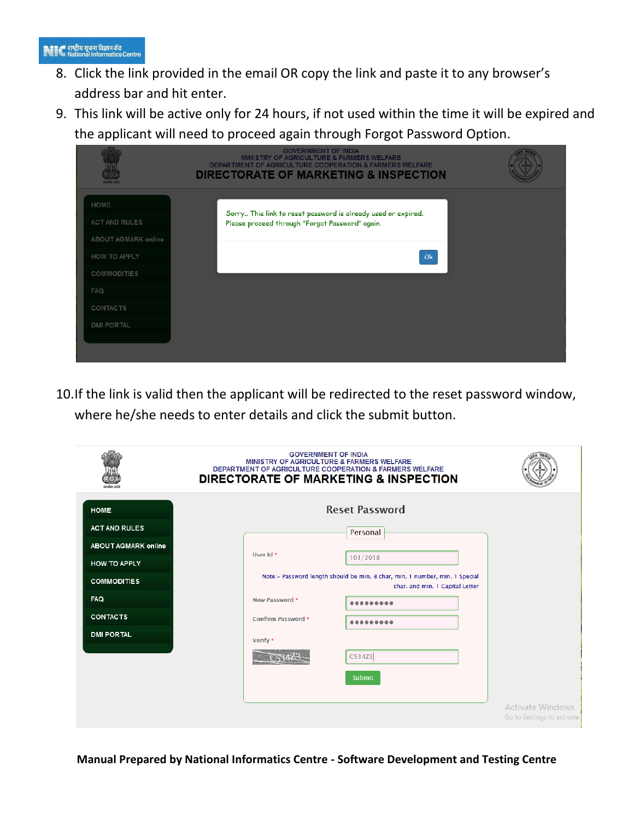- 8. Click the link provided in the email OR copy the link and paste it to any browser's address bar and hit enter.
- 9. This link will be active only for 24 hours, if not used within the time it will be expired and the applicant will need to proceed again through Forgot Password Option.

|                       | <b>GOVERNMENT OF INDIA</b><br><b>MINISTRY OF AGRICULTURE &amp; FARMERS WELFARE</b><br><b>DEPARTMENT OF AGRICULTURE COOPERATION &amp; FARMERS WELFARE</b><br><b>DIRECTORATE OF MARKETING &amp; INSPECTION</b> |  |
|-----------------------|--------------------------------------------------------------------------------------------------------------------------------------------------------------------------------------------------------------|--|
| HOME<br>ACT AND RULES | Sorry This link to reset password is already used or expired.<br>Please proceed through "Forgot Password" again.                                                                                             |  |
| ABOUT AGMARK online   |                                                                                                                                                                                                              |  |
| <b>HOW TO APPLY</b>   | Ok                                                                                                                                                                                                           |  |
| <b>COMMODITIES</b>    |                                                                                                                                                                                                              |  |
| <b>FAQ</b>            |                                                                                                                                                                                                              |  |
| <b>CONTACTS</b>       |                                                                                                                                                                                                              |  |
| <b>DMI PORTAL</b>     |                                                                                                                                                                                                              |  |
|                       |                                                                                                                                                                                                              |  |

10.If the link is valid then the applicant will be redirected to the reset password window, where he/she needs to enter details and click the submit button.

|                            | <b>GOVERNMENT OF INDIA</b><br>MINISTRY OF AGRICULTURE & FARMERS WELFARE<br>DEPARTMENT OF AGRICULTURE COOPERATION & FARMERS WELFARE<br><b>DIRECTORATE OF MARKETING &amp; INSPECTION</b> |
|----------------------------|----------------------------------------------------------------------------------------------------------------------------------------------------------------------------------------|
| <b>HOME</b>                | <b>Reset Password</b>                                                                                                                                                                  |
| <b>ACT AND RULES</b>       | Personal                                                                                                                                                                               |
| <b>ABOUT AGMARK online</b> | User Id *                                                                                                                                                                              |
| <b>HOW TO APPLY</b>        | 101/2018                                                                                                                                                                               |
| <b>COMMODITIES</b>         | Note:- Password length should be min. 8 char, min. 1 number, min. 1 Special<br>char. and min. 1 Capital Letter                                                                         |
| <b>FAQ</b>                 | New Password *                                                                                                                                                                         |
| <b>CONTACTS</b>            | Confirm Password *                                                                                                                                                                     |
| <b>DMI PORTAL</b>          | Verify *                                                                                                                                                                               |
|                            | C534Z3                                                                                                                                                                                 |
|                            | Submit                                                                                                                                                                                 |
|                            |                                                                                                                                                                                        |
|                            | <b>Activate Windows</b><br>Go to Settings to activate                                                                                                                                  |

**Manual Prepared by National Informatics Centre - Software Development and Testing Centre**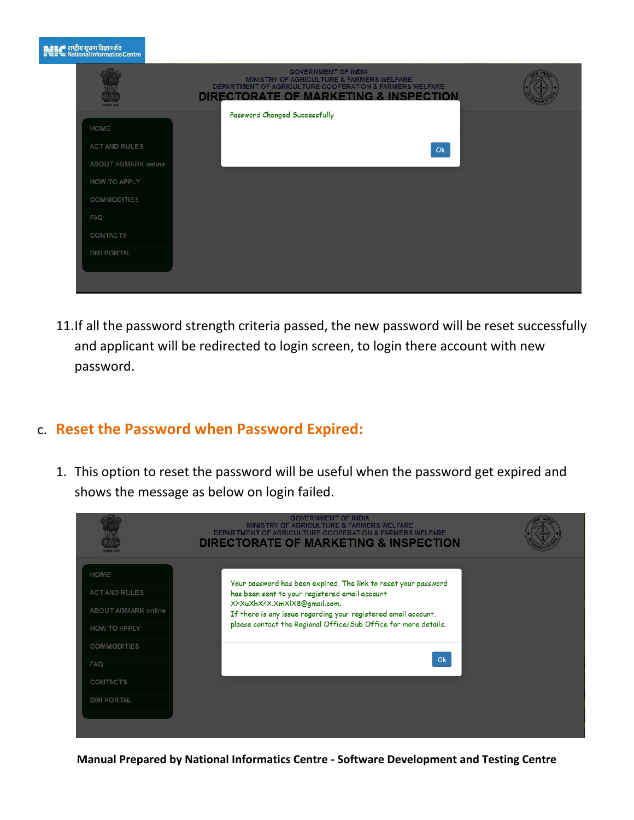| सम्पन्नेव जयने      | <b>GOVERNMENT OF INDIA</b><br>MINISTRY OF AGRICULTURE & FARMERS WELFARE<br><b>DEPARTMENT OF AGRICULTURE COOPERATION &amp; FARMERS WELFARE</b><br><b>DIRECTORATE OF MARKETING &amp; INSPECTION</b> |
|---------------------|---------------------------------------------------------------------------------------------------------------------------------------------------------------------------------------------------|
| HOME                | Password Changed Successfully                                                                                                                                                                     |
| ACT AND RULES       | Ok                                                                                                                                                                                                |
| ABOUT AGMARK online |                                                                                                                                                                                                   |
| HOW TO APPLY        |                                                                                                                                                                                                   |
| COMMODITIES         |                                                                                                                                                                                                   |
| <b>FAQ</b>          |                                                                                                                                                                                                   |
| CONTACTS            |                                                                                                                                                                                                   |
| <b>DMI PORTAL</b>   |                                                                                                                                                                                                   |

11.If all the password strength criteria passed, the new password will be reset successfully and applicant will be redirected to login screen, to login there account with new password.

#### c. **Reset the Password when Password Expired:**

स्थान राष्ट्रीय सूचना विज्ञान केंद्र<br>स्थानि National Informatics (

1. This option to reset the password will be useful when the password get expired and shows the message as below on login failed.

|                              | <b>GOVERNMENT OF INDIA</b><br><b>MINISTRY OF AGRICULTURE &amp; FARMERS WELFARE</b><br><b>DEPARTMENT OF AGRICULTURE COOPERATION &amp; FARMERS WELFARE</b><br><b>DIRECTORATE OF MARKETING &amp; INSPECTION</b> |  |
|------------------------------|--------------------------------------------------------------------------------------------------------------------------------------------------------------------------------------------------------------|--|
| HOME<br><b>ACT AND RULES</b> | Your password has been expired, The link to reset your password<br>has been sent to your registered email account                                                                                            |  |
| ABOUT AGMARK online          | XhXuXhXrX.XmXlX8@gmail.com.<br>If there is any issue regarding your registered email account,                                                                                                                |  |
| <b>HOW TO APPLY</b>          | please contact the Regional Office/Sub Office for more details.                                                                                                                                              |  |
| COMMODITIES                  |                                                                                                                                                                                                              |  |
| <b>FAQ</b>                   | Ok                                                                                                                                                                                                           |  |
| CONTACTS                     |                                                                                                                                                                                                              |  |
| <b>DMI PORTAL</b>            |                                                                                                                                                                                                              |  |
|                              |                                                                                                                                                                                                              |  |

**Manual Prepared by National Informatics Centre - Software Development and Testing Centre**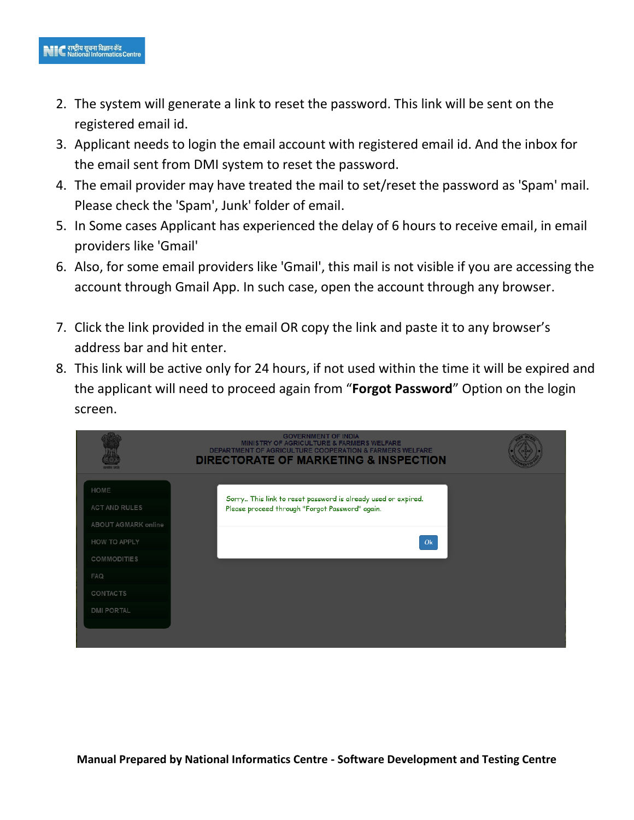- 2. The system will generate a link to reset the password. This link will be sent on the registered email id.
- 3. Applicant needs to login the email account with registered email id. And the inbox for the email sent from DMI system to reset the password.
- 4. The email provider may have treated the mail to set/reset the password as 'Spam' mail. Please check the 'Spam', Junk' folder of email.
- 5. In Some cases Applicant has experienced the delay of 6 hours to receive email, in email providers like 'Gmail'
- 6. Also, for some email providers like 'Gmail', this mail is not visible if you are accessing the account through Gmail App. In such case, open the account through any browser.
- 7. Click the link provided in the email OR copy the link and paste it to any browser's address bar and hit enter.
- 8. This link will be active only for 24 hours, if not used within the time it will be expired and the applicant will need to proceed again from "**Forgot Password**" Option on the login screen.

|                                             | <b>GOVERNMENT OF INDIA</b><br><b>MINISTRY OF AGRICULTURE &amp; FARMERS WELFARE</b><br><b>DEPARTMENT OF AGRICULTURE COOPERATION &amp; FARMERS WELFARE</b><br><b>DIRECTORATE OF MARKETING &amp; INSPECTION</b> |  |
|---------------------------------------------|--------------------------------------------------------------------------------------------------------------------------------------------------------------------------------------------------------------|--|
| HOME                                        | Sorry This link to reset password is already used or expired.                                                                                                                                                |  |
| <b>ACT AND RULES</b><br>ABOUT AGMARK online | Please proceed through "Forgot Password" again.                                                                                                                                                              |  |
| <b>HOW TO APPLY</b>                         | Ok                                                                                                                                                                                                           |  |
| <b>COMMODITIES</b>                          |                                                                                                                                                                                                              |  |
| <b>FAQ</b>                                  |                                                                                                                                                                                                              |  |
| <b>CONTACTS</b>                             |                                                                                                                                                                                                              |  |
| <b>DMI PORTAL</b>                           |                                                                                                                                                                                                              |  |
|                                             |                                                                                                                                                                                                              |  |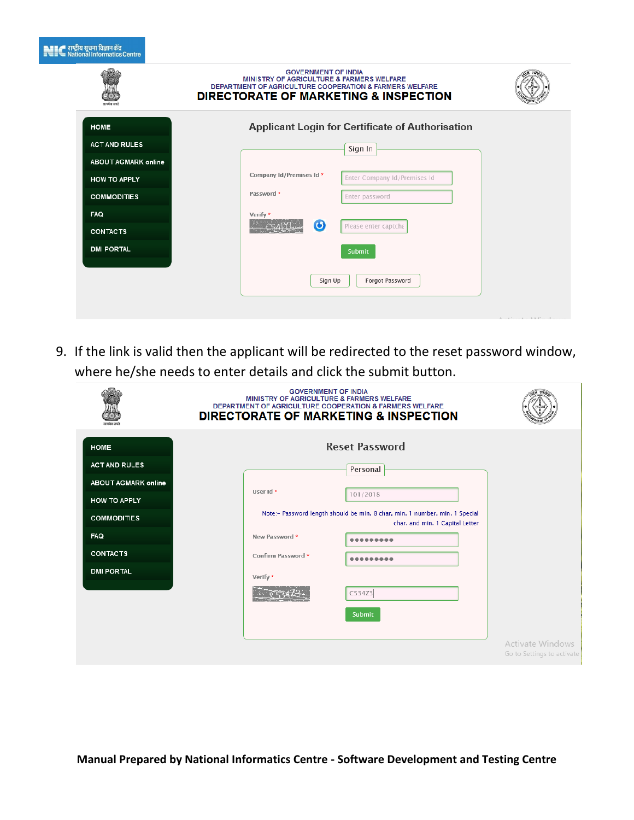|  | ■■■■ राष्ट्रीय सूचना विज्ञान केंद्र |  |  |
|--|-------------------------------------|--|--|
|  |                                     |  |  |
|  |                                     |  |  |
|  | ≣''' National Informatics Centra    |  |  |
|  |                                     |  |  |

|                                           | <b>GOVERNMENT OF INDIA</b><br>MINISTRY OF AGRICULTURE & FARMERS WELFARE<br><b>DEPARTMENT OF AGRICULTURE COOPERATION &amp; FARMERS WELFARE</b><br><b>DIRECTORATE OF MARKETING &amp; INSPECTION</b> |                                      |
|-------------------------------------------|---------------------------------------------------------------------------------------------------------------------------------------------------------------------------------------------------|--------------------------------------|
| <b>HOME</b><br><b>ACT AND RULES</b>       | <b>Applicant Login for Certificate of Authorisation</b><br>Sign In                                                                                                                                |                                      |
| <b>ABOUT AGMARK online</b>                | Company Id/Premises Id *<br>Enter Company Id/Premises Id                                                                                                                                          |                                      |
| <b>HOW TO APPLY</b><br><b>COMMODITIES</b> | Password *<br>Enter password                                                                                                                                                                      |                                      |
| FAQ<br><b>CONTACTS</b>                    | Verify *<br>$\bullet$<br>Please enter captcha                                                                                                                                                     |                                      |
| <b>DMI PORTAL</b>                         | Submit                                                                                                                                                                                            |                                      |
|                                           | Forgot Password<br>Sign Up                                                                                                                                                                        |                                      |
|                                           |                                                                                                                                                                                                   | $A = L^*$ , $L = L - L M^*$ , $\Box$ |

9. If the link is valid then the applicant will be redirected to the reset password window, where he/she needs to enter details and click the submit button.

|                            | <b>GOVERNMENT OF INDIA</b><br>MINISTRY OF AGRICULTURE & FARMERS WELFARE<br><b>DEPARTMENT OF AGRICULTURE COOPERATION &amp; FARMERS WELFARE</b><br><b>DIRECTORATE OF MARKETING &amp; INSPECTION</b> |                                                       |
|----------------------------|---------------------------------------------------------------------------------------------------------------------------------------------------------------------------------------------------|-------------------------------------------------------|
| <b>HOME</b>                | <b>Reset Password</b>                                                                                                                                                                             |                                                       |
| <b>ACT AND RULES</b>       | Personal                                                                                                                                                                                          |                                                       |
| <b>ABOUT AGMARK online</b> | User Id *                                                                                                                                                                                         |                                                       |
| <b>HOW TO APPLY</b>        | 101/2018                                                                                                                                                                                          |                                                       |
| <b>COMMODITIES</b>         | Note:- Password length should be min. 8 char, min. 1 number, min. 1 Special<br>char. and min. 1 Capital Letter                                                                                    |                                                       |
| <b>FAQ</b>                 | New Password *                                                                                                                                                                                    |                                                       |
| <b>CONTACTS</b>            | Confirm Password *                                                                                                                                                                                |                                                       |
| <b>DMI PORTAL</b>          | Verify *                                                                                                                                                                                          |                                                       |
|                            | C534Z3                                                                                                                                                                                            |                                                       |
|                            | Submit                                                                                                                                                                                            |                                                       |
|                            |                                                                                                                                                                                                   |                                                       |
|                            |                                                                                                                                                                                                   | <b>Activate Windows</b><br>Go to Settings to activate |
|                            |                                                                                                                                                                                                   |                                                       |